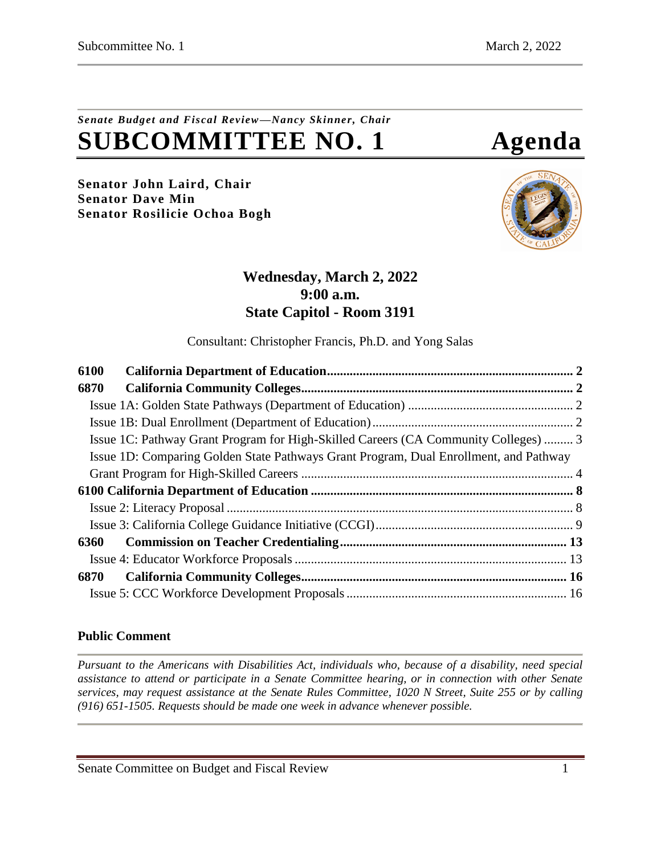# *Senate Budget and Fiscal Review—Nancy Skinner, Chair* **SUBCOMMITTEE NO. 1 Agenda**

**Senator John Laird, Chair Senator Dave Min Senator Rosilicie Ochoa Bogh**



# **Wednesday, March 2, 2022 9:00 a.m. State Capitol - Room 3191**

Consultant: Christopher Francis, Ph.D. and Yong Salas

| 6100                                                                                  |  |
|---------------------------------------------------------------------------------------|--|
| 6870                                                                                  |  |
|                                                                                       |  |
|                                                                                       |  |
| Issue 1C: Pathway Grant Program for High-Skilled Careers (CA Community Colleges)  3   |  |
| Issue 1D: Comparing Golden State Pathways Grant Program, Dual Enrollment, and Pathway |  |
|                                                                                       |  |
|                                                                                       |  |
|                                                                                       |  |
|                                                                                       |  |
| 6360                                                                                  |  |
|                                                                                       |  |
| 6870                                                                                  |  |
|                                                                                       |  |

# **Public Comment**

*Pursuant to the Americans with Disabilities Act, individuals who, because of a disability, need special assistance to attend or participate in a Senate Committee hearing, or in connection with other Senate services, may request assistance at the Senate Rules Committee, 1020 N Street, Suite 255 or by calling (916) 651-1505. Requests should be made one week in advance whenever possible.*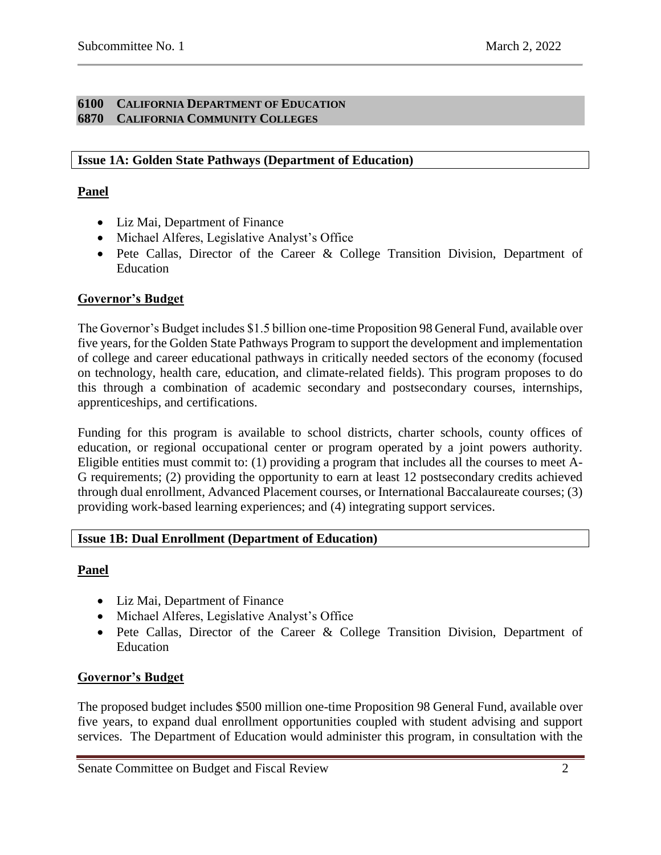#### <span id="page-1-1"></span><span id="page-1-0"></span>**6100 CALIFORNIA DEPARTMENT OF EDUCATION 6870 CALIFORNIA COMMUNITY COLLEGES**

# <span id="page-1-2"></span>**Issue 1A: Golden State Pathways (Department of Education)**

# **Panel**

- Liz Mai, Department of Finance
- Michael Alferes, Legislative Analyst's Office
- Pete Callas, Director of the Career & College Transition Division, Department of Education

# **Governor's Budget**

The Governor's Budget includes \$1.5 billion one-time Proposition 98 General Fund, available over five years, for the Golden State Pathways Program to support the development and implementation of college and career educational pathways in critically needed sectors of the economy (focused on technology, health care, education, and climate-related fields). This program proposes to do this through a combination of academic secondary and postsecondary courses, internships, apprenticeships, and certifications.

Funding for this program is available to school districts, charter schools, county offices of education, or regional occupational center or program operated by a joint powers authority. Eligible entities must commit to: (1) providing a program that includes all the courses to meet A-G requirements; (2) providing the opportunity to earn at least 12 postsecondary credits achieved through dual enrollment, Advanced Placement courses, or International Baccalaureate courses; (3) providing work-based learning experiences; and (4) integrating support services.

# <span id="page-1-3"></span>**Issue 1B: Dual Enrollment (Department of Education)**

# **Panel**

- Liz Mai, Department of Finance
- Michael Alferes, Legislative Analyst's Office
- Pete Callas, Director of the Career & College Transition Division, Department of Education

# **Governor's Budget**

The proposed budget includes \$500 million one-time Proposition 98 General Fund, available over five years, to expand dual enrollment opportunities coupled with student advising and support services. The Department of Education would administer this program, in consultation with the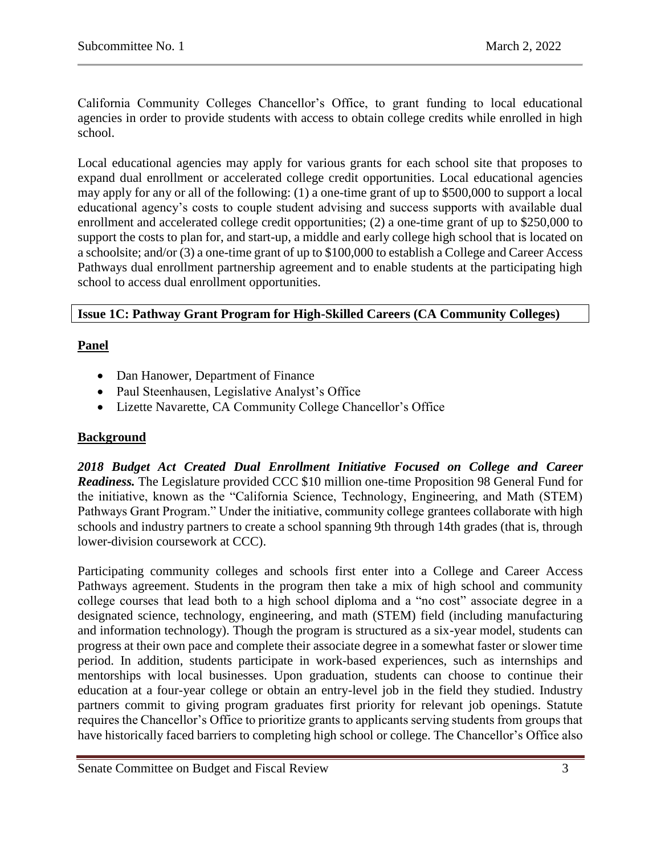California Community Colleges Chancellor's Office, to grant funding to local educational agencies in order to provide students with access to obtain college credits while enrolled in high school.

Local educational agencies may apply for various grants for each school site that proposes to expand dual enrollment or accelerated college credit opportunities. Local educational agencies may apply for any or all of the following: (1) a one-time grant of up to \$500,000 to support a local educational agency's costs to couple student advising and success supports with available dual enrollment and accelerated college credit opportunities; (2) a one-time grant of up to \$250,000 to support the costs to plan for, and start-up, a middle and early college high school that is located on a schoolsite; and/or (3) a one-time grant of up to \$100,000 to establish a College and Career Access Pathways dual enrollment partnership agreement and to enable students at the participating high school to access dual enrollment opportunities.

# <span id="page-2-0"></span>**Issue 1C: Pathway Grant Program for High-Skilled Careers (CA Community Colleges)**

# **Panel**

- Dan Hanower, Department of Finance
- Paul Steenhausen, Legislative Analyst's Office
- Lizette Navarette, CA Community College Chancellor's Office

# **Background**

*2018 Budget Act Created Dual Enrollment Initiative Focused on College and Career Readiness.* The Legislature provided CCC \$10 million one-time Proposition 98 General Fund for the initiative, known as the "California Science, Technology, Engineering, and Math (STEM) Pathways Grant Program." Under the initiative, community college grantees collaborate with high schools and industry partners to create a school spanning 9th through 14th grades (that is, through lower-division coursework at CCC).

Participating community colleges and schools first enter into a College and Career Access Pathways agreement. Students in the program then take a mix of high school and community college courses that lead both to a high school diploma and a "no cost" associate degree in a designated science, technology, engineering, and math (STEM) field (including manufacturing and information technology). Though the program is structured as a six-year model, students can progress at their own pace and complete their associate degree in a somewhat faster or slower time period. In addition, students participate in work-based experiences, such as internships and mentorships with local businesses. Upon graduation, students can choose to continue their education at a four-year college or obtain an entry-level job in the field they studied. Industry partners commit to giving program graduates first priority for relevant job openings. Statute requires the Chancellor's Office to prioritize grants to applicants serving students from groups that have historically faced barriers to completing high school or college. The Chancellor's Office also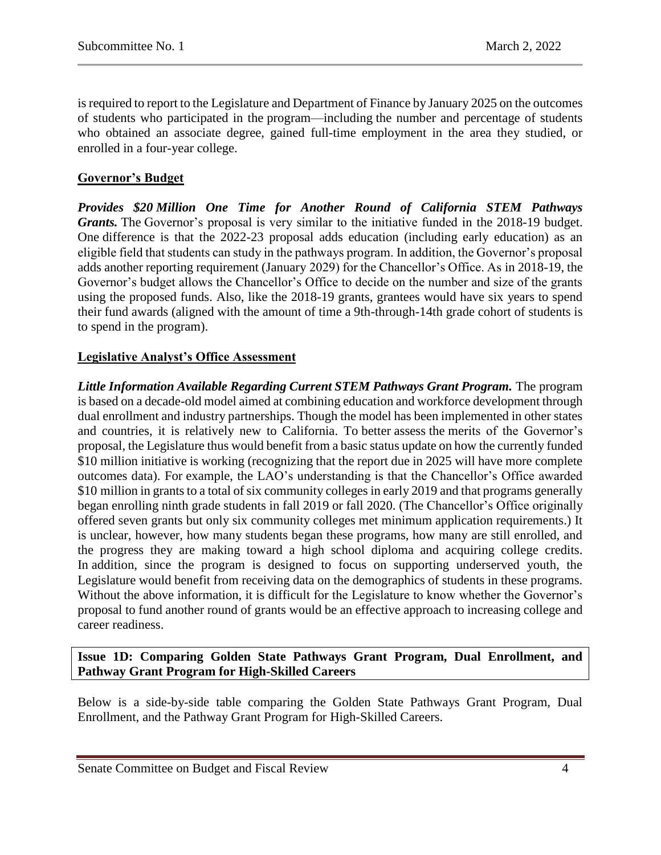is required to report to the Legislature and Department of Finance by January 2025 on the outcomes of students who participated in the program—including the number and percentage of students who obtained an associate degree, gained full-time employment in the area they studied, or enrolled in a four-year college.

# **Governor's Budget**

*Provides \$20 Million One Time for Another Round of California STEM Pathways Grants.* The Governor's proposal is very similar to the initiative funded in the 2018-19 budget. One difference is that the 2022-23 proposal adds education (including early education) as an eligible field that students can study in the pathways program. In addition, the Governor's proposal adds another reporting requirement (January 2029) for the Chancellor's Office. As in 2018-19, the Governor's budget allows the Chancellor's Office to decide on the number and size of the grants using the proposed funds. Also, like the 2018-19 grants, grantees would have six years to spend their fund awards (aligned with the amount of time a 9th-through-14th grade cohort of students is to spend in the program).

## **Legislative Analyst's Office Assessment**

*Little Information Available Regarding Current STEM Pathways Grant Program.* The program is based on a decade-old model aimed at combining education and workforce development through dual enrollment and industry partnerships. Though the model has been implemented in other states and countries, it is relatively new to California. To better assess the merits of the Governor's proposal, the Legislature thus would benefit from a basic status update on how the currently funded \$10 million initiative is working (recognizing that the report due in 2025 will have more complete outcomes data). For example, the LAO's understanding is that the Chancellor's Office awarded \$10 million in grants to a total of six community colleges in early 2019 and that programs generally began enrolling ninth grade students in fall 2019 or fall 2020. (The Chancellor's Office originally offered seven grants but only six community colleges met minimum application requirements.) It is unclear, however, how many students began these programs, how many are still enrolled, and the progress they are making toward a high school diploma and acquiring college credits. In addition, since the program is designed to focus on supporting underserved youth, the Legislature would benefit from receiving data on the demographics of students in these programs. Without the above information, it is difficult for the Legislature to know whether the Governor's proposal to fund another round of grants would be an effective approach to increasing college and career readiness.

<span id="page-3-0"></span>**Issue 1D: Comparing Golden State Pathways Grant Program, Dual Enrollment, and Pathway Grant Program for High-Skilled Careers**

Below is a side-by-side table comparing the Golden State Pathways Grant Program, Dual Enrollment, and the Pathway Grant Program for High-Skilled Careers.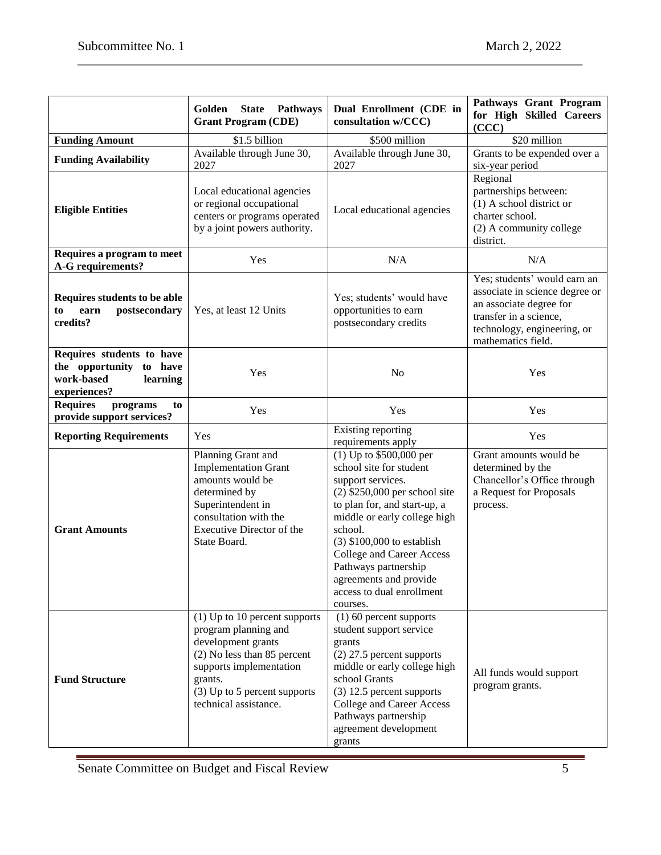|                                                                                                | Golden<br><b>State</b><br><b>Pathways</b><br><b>Grant Program (CDE)</b>                                                                                                                                     | Dual Enrollment (CDE in<br>consultation w/CCC)                                                                                                                                                                                                                                                                                                         | Pathways Grant Program<br>for High Skilled Careers<br>(CCC)                                                                                                              |
|------------------------------------------------------------------------------------------------|-------------------------------------------------------------------------------------------------------------------------------------------------------------------------------------------------------------|--------------------------------------------------------------------------------------------------------------------------------------------------------------------------------------------------------------------------------------------------------------------------------------------------------------------------------------------------------|--------------------------------------------------------------------------------------------------------------------------------------------------------------------------|
| <b>Funding Amount</b>                                                                          | \$1.5 billion                                                                                                                                                                                               | \$500 million                                                                                                                                                                                                                                                                                                                                          | \$20 million                                                                                                                                                             |
| <b>Funding Availability</b>                                                                    | Available through June 30,<br>2027                                                                                                                                                                          | Available through June 30,<br>2027                                                                                                                                                                                                                                                                                                                     | Grants to be expended over a<br>six-year period                                                                                                                          |
| <b>Eligible Entities</b>                                                                       | Local educational agencies<br>or regional occupational<br>centers or programs operated<br>by a joint powers authority.                                                                                      | Local educational agencies                                                                                                                                                                                                                                                                                                                             | Regional<br>partnerships between:<br>(1) A school district or<br>charter school.<br>(2) A community college<br>district.                                                 |
| Requires a program to meet<br>A-G requirements?                                                | Yes                                                                                                                                                                                                         | N/A                                                                                                                                                                                                                                                                                                                                                    | N/A                                                                                                                                                                      |
| Requires students to be able<br>postsecondary<br>to<br>earn<br>credits?                        | Yes, at least 12 Units                                                                                                                                                                                      | Yes; students' would have<br>opportunities to earn<br>postsecondary credits                                                                                                                                                                                                                                                                            | Yes; students' would earn an<br>associate in science degree or<br>an associate degree for<br>transfer in a science,<br>technology, engineering, or<br>mathematics field. |
| Requires students to have<br>the opportunity to have<br>work-based<br>learning<br>experiences? | Yes                                                                                                                                                                                                         | N <sub>o</sub>                                                                                                                                                                                                                                                                                                                                         | Yes                                                                                                                                                                      |
| <b>Requires</b><br>programs<br>to<br>provide support services?                                 | Yes                                                                                                                                                                                                         | Yes                                                                                                                                                                                                                                                                                                                                                    | Yes                                                                                                                                                                      |
| <b>Reporting Requirements</b>                                                                  | Yes                                                                                                                                                                                                         | Existing reporting<br>requirements apply                                                                                                                                                                                                                                                                                                               | Yes                                                                                                                                                                      |
| <b>Grant Amounts</b>                                                                           | Planning Grant and<br><b>Implementation Grant</b><br>amounts would be<br>determined by<br>Superintendent in<br>consultation with the<br>Executive Director of the<br>State Board.                           | $(1)$ Up to \$500,000 per<br>school site for student<br>support services.<br>$(2)$ \$250,000 per school site<br>to plan for, and start-up, a<br>middle or early college high<br>school.<br>$(3)$ \$100,000 to establish<br><b>College and Career Access</b><br>Pathways partnership<br>agreements and provide<br>access to dual enrollment<br>courses. | Grant amounts would be<br>determined by the<br>Chancellor's Office through<br>a Request for Proposals<br>process.                                                        |
| <b>Fund Structure</b>                                                                          | $(1)$ Up to 10 percent supports<br>program planning and<br>development grants<br>(2) No less than 85 percent<br>supports implementation<br>grants.<br>(3) Up to 5 percent supports<br>technical assistance. | (1) 60 percent supports<br>student support service<br>grants<br>$(2)$ 27.5 percent supports<br>middle or early college high<br>school Grants<br>$(3)$ 12.5 percent supports<br>College and Career Access<br>Pathways partnership<br>agreement development<br>grants                                                                                    | All funds would support<br>program grants.                                                                                                                               |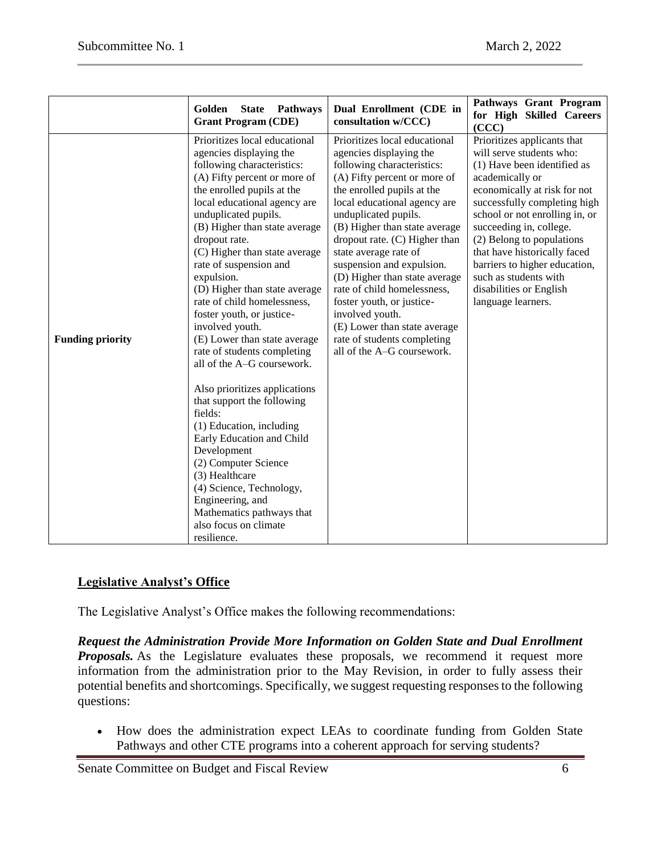|                         | Golden<br><b>State</b><br><b>Pathways</b><br><b>Grant Program (CDE)</b>                                                                                                                                                                                                                                                                                                                                                                                                                                                                                                                                                                                                                                                                                                                                                                                               | Dual Enrollment (CDE in<br>consultation w/CCC)                                                                                                                                                                                                                                                                                                                                                                                                                                                                                                    | Pathways Grant Program<br>for High Skilled Careers<br>(CCC)                                                                                                                                                                                                                                                                                                                                                    |
|-------------------------|-----------------------------------------------------------------------------------------------------------------------------------------------------------------------------------------------------------------------------------------------------------------------------------------------------------------------------------------------------------------------------------------------------------------------------------------------------------------------------------------------------------------------------------------------------------------------------------------------------------------------------------------------------------------------------------------------------------------------------------------------------------------------------------------------------------------------------------------------------------------------|---------------------------------------------------------------------------------------------------------------------------------------------------------------------------------------------------------------------------------------------------------------------------------------------------------------------------------------------------------------------------------------------------------------------------------------------------------------------------------------------------------------------------------------------------|----------------------------------------------------------------------------------------------------------------------------------------------------------------------------------------------------------------------------------------------------------------------------------------------------------------------------------------------------------------------------------------------------------------|
| <b>Funding priority</b> | Prioritizes local educational<br>agencies displaying the<br>following characteristics:<br>(A) Fifty percent or more of<br>the enrolled pupils at the<br>local educational agency are<br>unduplicated pupils.<br>(B) Higher than state average<br>dropout rate.<br>(C) Higher than state average<br>rate of suspension and<br>expulsion.<br>(D) Higher than state average<br>rate of child homelessness,<br>foster youth, or justice-<br>involved youth.<br>(E) Lower than state average<br>rate of students completing<br>all of the A-G coursework.<br>Also prioritizes applications<br>that support the following<br>fields:<br>(1) Education, including<br>Early Education and Child<br>Development<br>(2) Computer Science<br>(3) Healthcare<br>(4) Science, Technology,<br>Engineering, and<br>Mathematics pathways that<br>also focus on climate<br>resilience. | Prioritizes local educational<br>agencies displaying the<br>following characteristics:<br>(A) Fifty percent or more of<br>the enrolled pupils at the<br>local educational agency are<br>unduplicated pupils.<br>(B) Higher than state average<br>dropout rate. (C) Higher than<br>state average rate of<br>suspension and expulsion.<br>(D) Higher than state average<br>rate of child homelessness,<br>foster youth, or justice-<br>involved youth.<br>(E) Lower than state average<br>rate of students completing<br>all of the A-G coursework. | Prioritizes applicants that<br>will serve students who:<br>(1) Have been identified as<br>academically or<br>economically at risk for not<br>successfully completing high<br>school or not enrolling in, or<br>succeeding in, college.<br>(2) Belong to populations<br>that have historically faced<br>barriers to higher education,<br>such as students with<br>disabilities or English<br>language learners. |

# **Legislative Analyst's Office**

The Legislative Analyst's Office makes the following recommendations:

*Request the Administration Provide More Information on Golden State and Dual Enrollment*  **Proposals.** As the Legislature evaluates these proposals, we recommend it request more information from the administration prior to the May Revision, in order to fully assess their potential benefits and shortcomings. Specifically, we suggest requesting responses to the following questions:

 How does the administration expect LEAs to coordinate funding from Golden State Pathways and other CTE programs into a coherent approach for serving students?

Senate Committee on Budget and Fiscal Review 6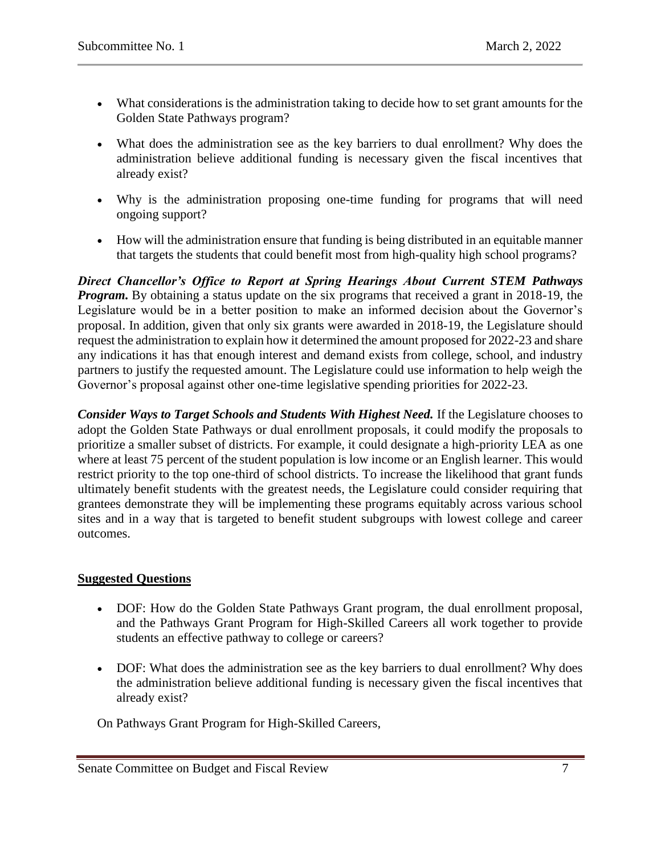- What considerations is the administration taking to decide how to set grant amounts for the Golden State Pathways program?
- What does the administration see as the key barriers to dual enrollment? Why does the administration believe additional funding is necessary given the fiscal incentives that already exist?
- Why is the administration proposing one-time funding for programs that will need ongoing support?
- How will the administration ensure that funding is being distributed in an equitable manner that targets the students that could benefit most from high-quality high school programs?

*Direct Chancellor's Office to Report at Spring Hearings About Current STEM Pathways Program.* By obtaining a status update on the six programs that received a grant in 2018-19, the Legislature would be in a better position to make an informed decision about the Governor's proposal. In addition, given that only six grants were awarded in 2018-19, the Legislature should request the administration to explain how it determined the amount proposed for 2022-23 and share any indications it has that enough interest and demand exists from college, school, and industry partners to justify the requested amount. The Legislature could use information to help weigh the Governor's proposal against other one-time legislative spending priorities for 2022-23.

*Consider Ways to Target Schools and Students With Highest Need.* If the Legislature chooses to adopt the Golden State Pathways or dual enrollment proposals, it could modify the proposals to prioritize a smaller subset of districts. For example, it could designate a high-priority LEA as one where at least 75 percent of the student population is low income or an English learner. This would restrict priority to the top one-third of school districts. To increase the likelihood that grant funds ultimately benefit students with the greatest needs, the Legislature could consider requiring that grantees demonstrate they will be implementing these programs equitably across various school sites and in a way that is targeted to benefit student subgroups with lowest college and career outcomes.

# **Suggested Questions**

- DOF: How do the Golden State Pathways Grant program, the dual enrollment proposal, and the Pathways Grant Program for High-Skilled Careers all work together to provide students an effective pathway to college or careers?
- DOF: What does the administration see as the key barriers to dual enrollment? Why does the administration believe additional funding is necessary given the fiscal incentives that already exist?

On Pathways Grant Program for High-Skilled Careers,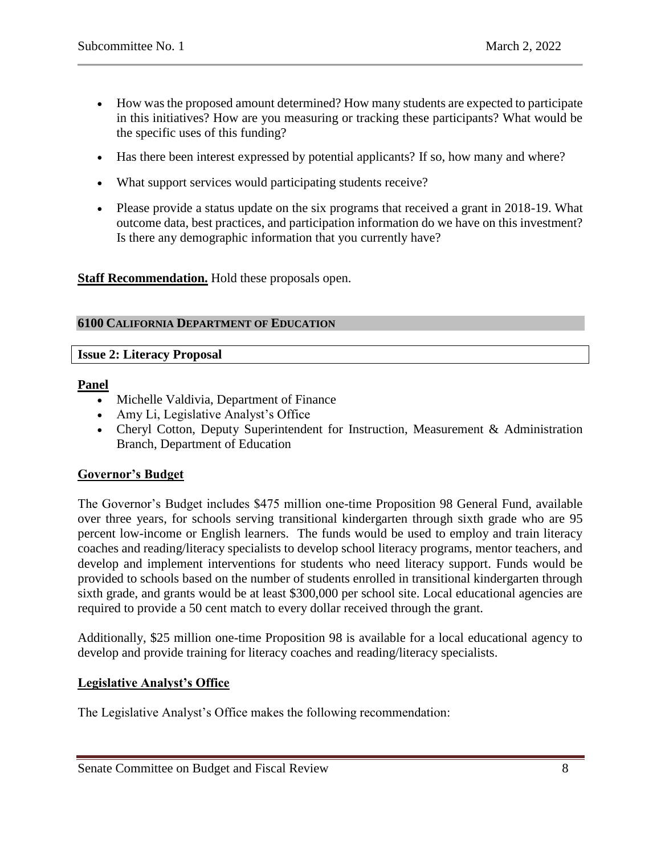- How was the proposed amount determined? How many students are expected to participate in this initiatives? How are you measuring or tracking these participants? What would be the specific uses of this funding?
- Has there been interest expressed by potential applicants? If so, how many and where?
- What support services would participating students receive?
- Please provide a status update on the six programs that received a grant in 2018-19. What outcome data, best practices, and participation information do we have on this investment? Is there any demographic information that you currently have?

**Staff Recommendation.** Hold these proposals open.

#### <span id="page-7-0"></span>**6100 CALIFORNIA DEPARTMENT OF EDUCATION**

# <span id="page-7-1"></span>**Issue 2: Literacy Proposal**

## **Panel**

- Michelle Valdivia, Department of Finance
- Amy Li, Legislative Analyst's Office
- Cheryl Cotton, Deputy Superintendent for Instruction, Measurement & Administration Branch, Department of Education

# **Governor's Budget**

The Governor's Budget includes \$475 million one-time Proposition 98 General Fund, available over three years, for schools serving transitional kindergarten through sixth grade who are 95 percent low-income or English learners. The funds would be used to employ and train literacy coaches and reading/literacy specialists to develop school literacy programs, mentor teachers, and develop and implement interventions for students who need literacy support. Funds would be provided to schools based on the number of students enrolled in transitional kindergarten through sixth grade, and grants would be at least \$300,000 per school site. Local educational agencies are required to provide a 50 cent match to every dollar received through the grant.

Additionally, \$25 million one-time Proposition 98 is available for a local educational agency to develop and provide training for literacy coaches and reading/literacy specialists.

#### **Legislative Analyst's Office**

The Legislative Analyst's Office makes the following recommendation: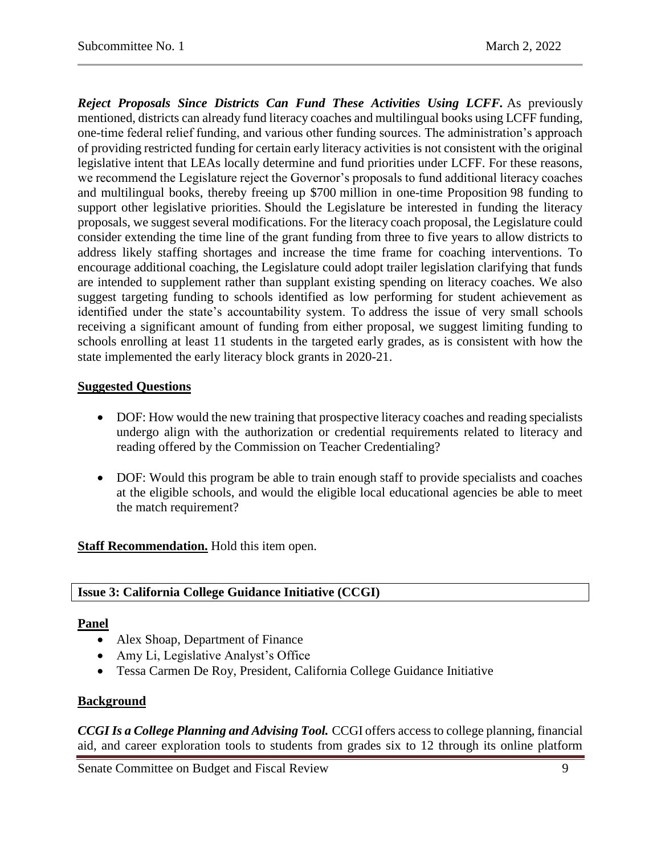*Reject Proposals Since Districts Can Fund These Activities Using LCFF.* As previously mentioned, districts can already fund literacy coaches and multilingual books using LCFF funding, one-time federal relief funding, and various other funding sources. The administration's approach of providing restricted funding for certain early literacy activities is not consistent with the original legislative intent that LEAs locally determine and fund priorities under LCFF. For these reasons, we recommend the Legislature reject the Governor's proposals to fund additional literacy coaches and multilingual books, thereby freeing up \$700 million in one-time Proposition 98 funding to support other legislative priorities. Should the Legislature be interested in funding the literacy proposals, we suggest several modifications. For the literacy coach proposal, the Legislature could consider extending the time line of the grant funding from three to five years to allow districts to address likely staffing shortages and increase the time frame for coaching interventions. To encourage additional coaching, the Legislature could adopt trailer legislation clarifying that funds are intended to supplement rather than supplant existing spending on literacy coaches. We also suggest targeting funding to schools identified as low performing for student achievement as identified under the state's accountability system. To address the issue of very small schools receiving a significant amount of funding from either proposal, we suggest limiting funding to schools enrolling at least 11 students in the targeted early grades, as is consistent with how the state implemented the early literacy block grants in 2020-21.

## **Suggested Questions**

- DOF: How would the new training that prospective literacy coaches and reading specialists undergo align with the authorization or credential requirements related to literacy and reading offered by the Commission on Teacher Credentialing?
- DOF: Would this program be able to train enough staff to provide specialists and coaches at the eligible schools, and would the eligible local educational agencies be able to meet the match requirement?

**Staff Recommendation.** Hold this item open.

# <span id="page-8-0"></span>**Issue 3: California College Guidance Initiative (CCGI)**

#### **Panel**

- Alex Shoap, Department of Finance
- Amy Li, Legislative Analyst's Office
- Tessa Carmen De Roy, President, California College Guidance Initiative

# **Background**

*CCGI Is a College Planning and Advising Tool.* CCGI offers access to college planning, financial aid, and career exploration tools to students from grades six to 12 through its online platform

Senate Committee on Budget and Fiscal Review 9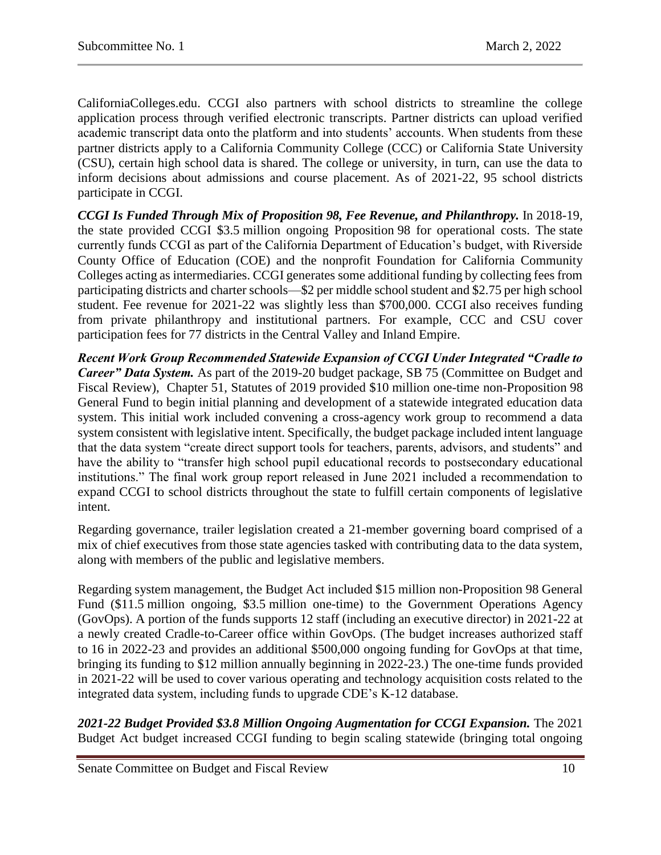CaliforniaColleges.edu. CCGI also partners with school districts to streamline the college application process through verified electronic transcripts. Partner districts can upload verified academic transcript data onto the platform and into students' accounts. When students from these partner districts apply to a California Community College (CCC) or California State University (CSU), certain high school data is shared. The college or university, in turn, can use the data to inform decisions about admissions and course placement. As of 2021-22, 95 school districts participate in CCGI.

*CCGI Is Funded Through Mix of Proposition 98, Fee Revenue, and Philanthropy.* In 2018-19, the state provided CCGI \$3.5 million ongoing Proposition 98 for operational costs. The state currently funds CCGI as part of the California Department of Education's budget, with Riverside County Office of Education (COE) and the nonprofit Foundation for California Community Colleges acting as intermediaries. CCGI generates some additional funding by collecting fees from participating districts and charter schools—\$2 per middle school student and \$2.75 per high school student. Fee revenue for 2021-22 was slightly less than \$700,000. CCGI also receives funding from private philanthropy and institutional partners. For example, CCC and CSU cover participation fees for 77 districts in the Central Valley and Inland Empire.

*Recent Work Group Recommended Statewide Expansion of CCGI Under Integrated "Cradle to Career" Data System.* As part of the 2019-20 budget package, SB 75 (Committee on Budget and Fiscal Review), Chapter 51, Statutes of 2019 provided \$10 million one-time non-Proposition 98 General Fund to begin initial planning and development of a statewide integrated education data system. This initial work included convening a cross-agency work group to recommend a data system consistent with legislative intent. Specifically, the budget package included intent language that the data system "create direct support tools for teachers, parents, advisors, and students" and have the ability to "transfer high school pupil educational records to postsecondary educational institutions." The final work group report released in June 2021 included a recommendation to expand CCGI to school districts throughout the state to fulfill certain components of legislative intent.

Regarding governance, trailer legislation created a 21-member governing board comprised of a mix of chief executives from those state agencies tasked with contributing data to the data system, along with members of the public and legislative members.

Regarding system management, the Budget Act included \$15 million non-Proposition 98 General Fund (\$11.5 million ongoing, \$3.5 million one-time) to the Government Operations Agency (GovOps). A portion of the funds supports 12 staff (including an executive director) in 2021-22 at a newly created Cradle-to-Career office within GovOps. (The budget increases authorized staff to 16 in 2022-23 and provides an additional \$500,000 ongoing funding for GovOps at that time, bringing its funding to \$12 million annually beginning in 2022-23.) The one-time funds provided in 2021-22 will be used to cover various operating and technology acquisition costs related to the integrated data system, including funds to upgrade CDE's K-12 database.

*2021-22 Budget Provided \$3.8 Million Ongoing Augmentation for CCGI Expansion.* The 2021 Budget Act budget increased CCGI funding to begin scaling statewide (bringing total ongoing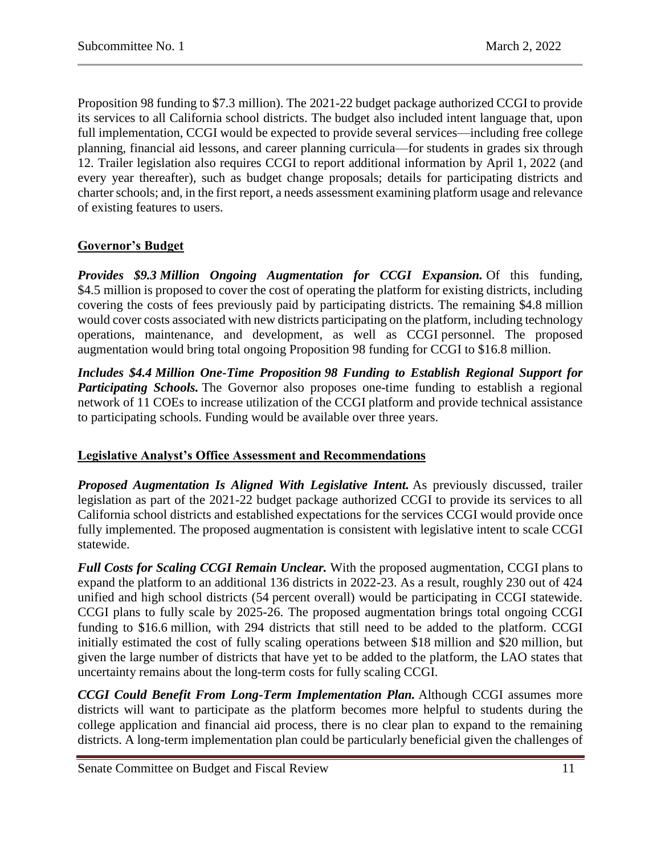Proposition 98 funding to \$7.3 million). The 2021-22 budget package authorized CCGI to provide its services to all California school districts. The budget also included intent language that, upon full implementation, CCGI would be expected to provide several services—including free college planning, financial aid lessons, and career planning curricula—for students in grades six through 12. Trailer legislation also requires CCGI to report additional information by April 1, 2022 (and every year thereafter), such as budget change proposals; details for participating districts and charter schools; and, in the first report, a needs assessment examining platform usage and relevance of existing features to users.

# **Governor's Budget**

*Provides \$9.3 Million Ongoing Augmentation for CCGI Expansion.* Of this funding, \$4.5 million is proposed to cover the cost of operating the platform for existing districts, including covering the costs of fees previously paid by participating districts. The remaining \$4.8 million would cover costs associated with new districts participating on the platform, including technology operations, maintenance, and development, as well as CCGI personnel. The proposed augmentation would bring total ongoing Proposition 98 funding for CCGI to \$16.8 million.

*Includes \$4.4 Million One-Time Proposition 98 Funding to Establish Regional Support for*  **Participating Schools.** The Governor also proposes one-time funding to establish a regional network of 11 COEs to increase utilization of the CCGI platform and provide technical assistance to participating schools. Funding would be available over three years.

# **Legislative Analyst's Office Assessment and Recommendations**

*Proposed Augmentation Is Aligned With Legislative Intent.* As previously discussed, trailer legislation as part of the 2021-22 budget package authorized CCGI to provide its services to all California school districts and established expectations for the services CCGI would provide once fully implemented. The proposed augmentation is consistent with legislative intent to scale CCGI statewide.

*Full Costs for Scaling CCGI Remain Unclear.* With the proposed augmentation, CCGI plans to expand the platform to an additional 136 districts in 2022-23. As a result, roughly 230 out of 424 unified and high school districts (54 percent overall) would be participating in CCGI statewide. CCGI plans to fully scale by 2025-26. The proposed augmentation brings total ongoing CCGI funding to \$16.6 million, with 294 districts that still need to be added to the platform. CCGI initially estimated the cost of fully scaling operations between \$18 million and \$20 million, but given the large number of districts that have yet to be added to the platform, the LAO states that uncertainty remains about the long-term costs for fully scaling CCGI.

*CCGI Could Benefit From Long-Term Implementation Plan.* Although CCGI assumes more districts will want to participate as the platform becomes more helpful to students during the college application and financial aid process, there is no clear plan to expand to the remaining districts. A long-term implementation plan could be particularly beneficial given the challenges of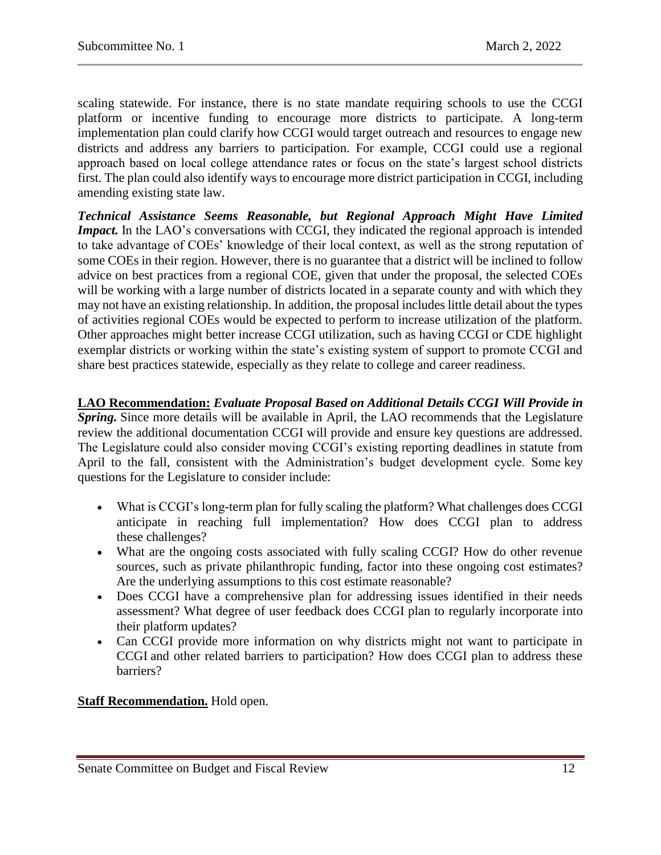scaling statewide. For instance, there is no state mandate requiring schools to use the CCGI platform or incentive funding to encourage more districts to participate. A long-term implementation plan could clarify how CCGI would target outreach and resources to engage new districts and address any barriers to participation. For example, CCGI could use a regional approach based on local college attendance rates or focus on the state's largest school districts first. The plan could also identify ways to encourage more district participation in CCGI, including amending existing state law.

*Technical Assistance Seems Reasonable, but Regional Approach Might Have Limited Impact.* In the LAO's conversations with CCGI, they indicated the regional approach is intended to take advantage of COEs' knowledge of their local context, as well as the strong reputation of some COEs in their region. However, there is no guarantee that a district will be inclined to follow advice on best practices from a regional COE, given that under the proposal, the selected COEs will be working with a large number of districts located in a separate county and with which they may not have an existing relationship. In addition, the proposal includes little detail about the types of activities regional COEs would be expected to perform to increase utilization of the platform. Other approaches might better increase CCGI utilization, such as having CCGI or CDE highlight exemplar districts or working within the state's existing system of support to promote CCGI and share best practices statewide, especially as they relate to college and career readiness.

**LAO Recommendation:** *Evaluate Proposal Based on Additional Details CCGI Will Provide in Spring.* Since more details will be available in April, the LAO recommends that the Legislature review the additional documentation CCGI will provide and ensure key questions are addressed. The Legislature could also consider moving CCGI's existing reporting deadlines in statute from April to the fall, consistent with the Administration's budget development cycle. Some key questions for the Legislature to consider include:

- What is CCGI's long-term plan for fully scaling the platform? What challenges does CCGI anticipate in reaching full implementation? How does CCGI plan to address these challenges?
- What are the ongoing costs associated with fully scaling CCGI? How do other revenue sources, such as private philanthropic funding, factor into these ongoing cost estimates? Are the underlying assumptions to this cost estimate reasonable?
- Does CCGI have a comprehensive plan for addressing issues identified in their needs assessment? What degree of user feedback does CCGI plan to regularly incorporate into their platform updates?
- Can CCGI provide more information on why districts might not want to participate in CCGI and other related barriers to participation? How does CCGI plan to address these barriers?

# **Staff Recommendation.** Hold open.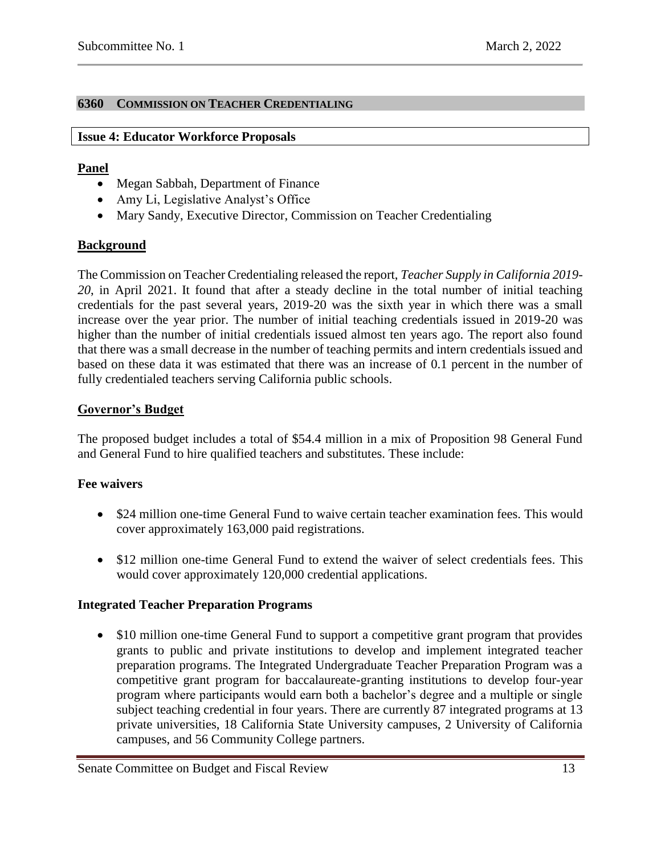# <span id="page-12-0"></span>**6360 COMMISSION ON TEACHER CREDENTIALING**

#### <span id="page-12-1"></span>**Issue 4: Educator Workforce Proposals**

## **Panel**

- Megan Sabbah, Department of Finance
- Amy Li, Legislative Analyst's Office
- Mary Sandy, Executive Director, Commission on Teacher Credentialing

# **Background**

The Commission on Teacher Credentialing released the report, *Teacher Supply in California 2019- 20*, in April 2021. It found that after a steady decline in the total number of initial teaching credentials for the past several years, 2019-20 was the sixth year in which there was a small increase over the year prior. The number of initial teaching credentials issued in 2019-20 was higher than the number of initial credentials issued almost ten years ago. The report also found that there was a small decrease in the number of teaching permits and intern credentials issued and based on these data it was estimated that there was an increase of 0.1 percent in the number of fully credentialed teachers serving California public schools.

# **Governor's Budget**

The proposed budget includes a total of \$54.4 million in a mix of Proposition 98 General Fund and General Fund to hire qualified teachers and substitutes. These include:

# **Fee waivers**

- \$24 million one-time General Fund to waive certain teacher examination fees. This would cover approximately 163,000 paid registrations.
- \$12 million one-time General Fund to extend the waiver of select credentials fees. This would cover approximately 120,000 credential applications.

# **Integrated Teacher Preparation Programs**

• \$10 million one-time General Fund to support a competitive grant program that provides grants to public and private institutions to develop and implement integrated teacher preparation programs. The Integrated Undergraduate Teacher Preparation Program was a competitive grant program for baccalaureate-granting institutions to develop four-year program where participants would earn both a bachelor's degree and a multiple or single subject teaching credential in four years. There are currently 87 integrated programs at 13 private universities, 18 California State University campuses, 2 University of California campuses, and 56 Community College partners.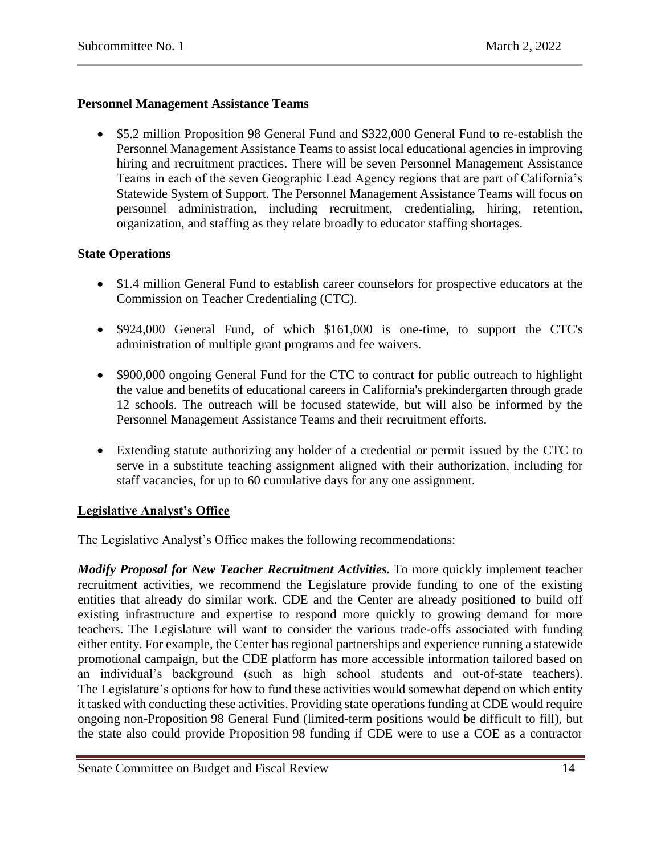## **Personnel Management Assistance Teams**

 \$5.2 million Proposition 98 General Fund and \$322,000 General Fund to re-establish the Personnel Management Assistance Teams to assist local educational agencies in improving hiring and recruitment practices. There will be seven Personnel Management Assistance Teams in each of the seven Geographic Lead Agency regions that are part of California's Statewide System of Support. The Personnel Management Assistance Teams will focus on personnel administration, including recruitment, credentialing, hiring, retention, organization, and staffing as they relate broadly to educator staffing shortages.

## **State Operations**

- \$1.4 million General Fund to establish career counselors for prospective educators at the Commission on Teacher Credentialing (CTC).
- \$924,000 General Fund, of which \$161,000 is one-time, to support the CTC's administration of multiple grant programs and fee waivers.
- \$900,000 ongoing General Fund for the CTC to contract for public outreach to highlight the value and benefits of educational careers in California's prekindergarten through grade 12 schools. The outreach will be focused statewide, but will also be informed by the Personnel Management Assistance Teams and their recruitment efforts.
- Extending statute authorizing any holder of a credential or permit issued by the CTC to serve in a substitute teaching assignment aligned with their authorization, including for staff vacancies, for up to 60 cumulative days for any one assignment.

# **Legislative Analyst's Office**

The Legislative Analyst's Office makes the following recommendations:

*Modify Proposal for New Teacher Recruitment Activities.* To more quickly implement teacher recruitment activities, we recommend the Legislature provide funding to one of the existing entities that already do similar work. CDE and the Center are already positioned to build off existing infrastructure and expertise to respond more quickly to growing demand for more teachers. The Legislature will want to consider the various trade-offs associated with funding either entity. For example, the Center has regional partnerships and experience running a statewide promotional campaign, but the CDE platform has more accessible information tailored based on an individual's background (such as high school students and out-of-state teachers). The Legislature's options for how to fund these activities would somewhat depend on which entity it tasked with conducting these activities. Providing state operations funding at CDE would require ongoing non-Proposition 98 General Fund (limited-term positions would be difficult to fill), but the state also could provide Proposition 98 funding if CDE were to use a COE as a contractor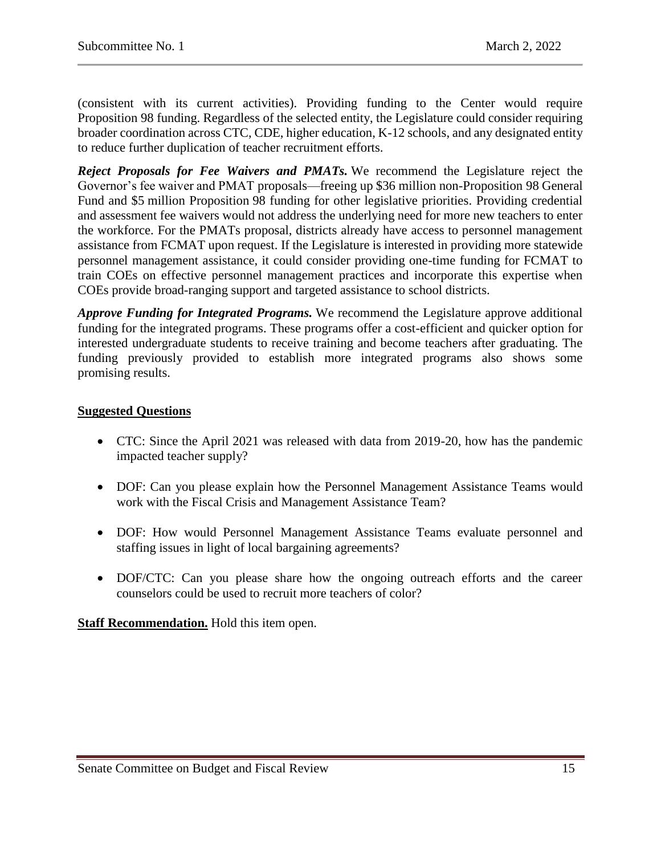(consistent with its current activities). Providing funding to the Center would require Proposition 98 funding. Regardless of the selected entity, the Legislature could consider requiring broader coordination across CTC, CDE, higher education, K-12 schools, and any designated entity to reduce further duplication of teacher recruitment efforts.

*Reject Proposals for Fee Waivers and PMATs.* We recommend the Legislature reject the Governor's fee waiver and PMAT proposals—freeing up \$36 million non-Proposition 98 General Fund and \$5 million Proposition 98 funding for other legislative priorities. Providing credential and assessment fee waivers would not address the underlying need for more new teachers to enter the workforce. For the PMATs proposal, districts already have access to personnel management assistance from FCMAT upon request. If the Legislature is interested in providing more statewide personnel management assistance, it could consider providing one-time funding for FCMAT to train COEs on effective personnel management practices and incorporate this expertise when COEs provide broad-ranging support and targeted assistance to school districts.

*Approve Funding for Integrated Programs.* We recommend the Legislature approve additional funding for the integrated programs. These programs offer a cost-efficient and quicker option for interested undergraduate students to receive training and become teachers after graduating. The funding previously provided to establish more integrated programs also shows some promising results.

## **Suggested Questions**

- CTC: Since the April 2021 was released with data from 2019-20, how has the pandemic impacted teacher supply?
- DOF: Can you please explain how the Personnel Management Assistance Teams would work with the Fiscal Crisis and Management Assistance Team?
- DOF: How would Personnel Management Assistance Teams evaluate personnel and staffing issues in light of local bargaining agreements?
- DOF/CTC: Can you please share how the ongoing outreach efforts and the career counselors could be used to recruit more teachers of color?

**Staff Recommendation.** Hold this item open.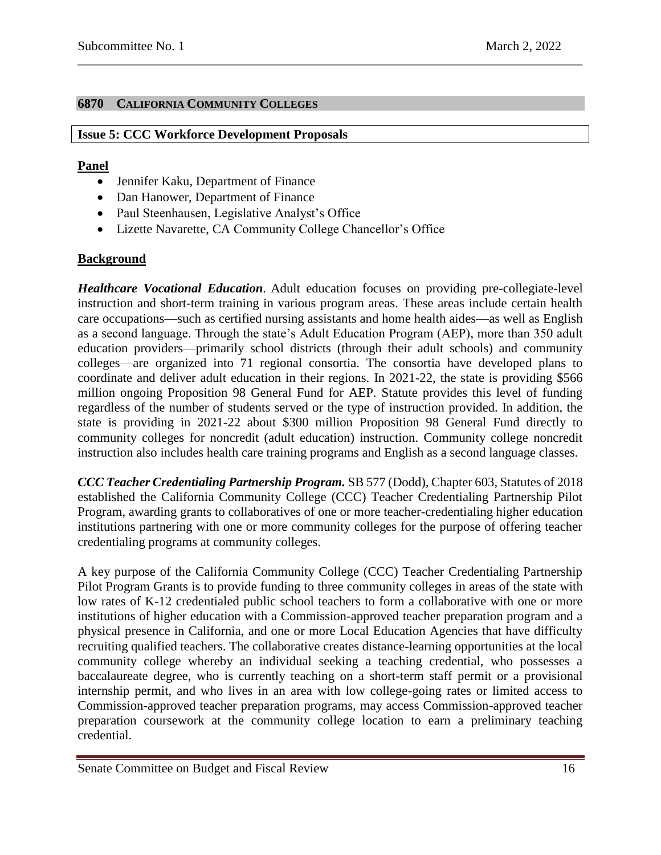# <span id="page-15-0"></span>**6870 CALIFORNIA COMMUNITY COLLEGES**

## <span id="page-15-1"></span>**Issue 5: CCC Workforce Development Proposals**

## **Panel**

- Jennifer Kaku, Department of Finance
- Dan Hanower, Department of Finance
- Paul Steenhausen, Legislative Analyst's Office
- Lizette Navarette, CA Community College Chancellor's Office

# **Background**

*Healthcare Vocational Education.* Adult education focuses on providing pre-collegiate-level instruction and short-term training in various program areas. These areas include certain health care occupations—such as certified nursing assistants and home health aides—as well as English as a second language. Through the state's Adult Education Program (AEP), more than 350 adult education providers—primarily school districts (through their adult schools) and community colleges—are organized into 71 regional consortia. The consortia have developed plans to coordinate and deliver adult education in their regions. In 2021-22, the state is providing \$566 million ongoing Proposition 98 General Fund for AEP. Statute provides this level of funding regardless of the number of students served or the type of instruction provided. In addition, the state is providing in 2021-22 about \$300 million Proposition 98 General Fund directly to community colleges for noncredit (adult education) instruction. Community college noncredit instruction also includes health care training programs and English as a second language classes.

*CCC Teacher Credentialing Partnership Program.* SB 577 (Dodd), Chapter 603, Statutes of 2018 established the California Community College (CCC) Teacher Credentialing Partnership Pilot Program, awarding grants to collaboratives of one or more teacher-credentialing higher education institutions partnering with one or more community colleges for the purpose of offering teacher credentialing programs at community colleges.

A key purpose of the California Community College (CCC) Teacher Credentialing Partnership Pilot Program Grants is to provide funding to three community colleges in areas of the state with low rates of K-12 credentialed public school teachers to form a collaborative with one or more institutions of higher education with a Commission-approved teacher preparation program and a physical presence in California, and one or more Local Education Agencies that have difficulty recruiting qualified teachers. The collaborative creates distance-learning opportunities at the local community college whereby an individual seeking a teaching credential, who possesses a baccalaureate degree, who is currently teaching on a short-term staff permit or a provisional internship permit, and who lives in an area with low college-going rates or limited access to Commission-approved teacher preparation programs, may access Commission-approved teacher preparation coursework at the community college location to earn a preliminary teaching credential.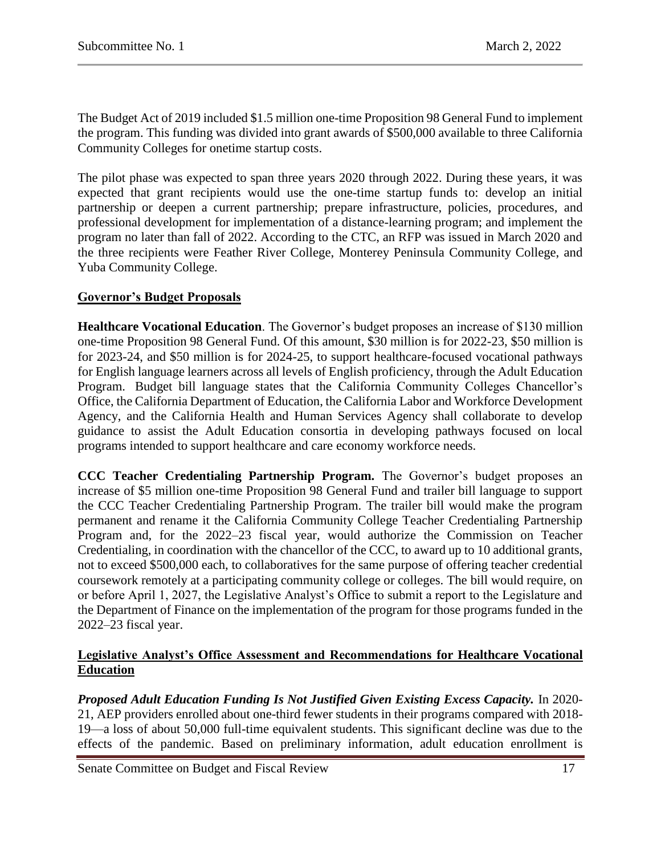The Budget Act of 2019 included \$1.5 million one-time Proposition 98 General Fund to implement the program. This funding was divided into grant awards of \$500,000 available to three California Community Colleges for onetime startup costs.

The pilot phase was expected to span three years 2020 through 2022. During these years, it was expected that grant recipients would use the one-time startup funds to: develop an initial partnership or deepen a current partnership; prepare infrastructure, policies, procedures, and professional development for implementation of a distance-learning program; and implement the program no later than fall of 2022. According to the CTC, an RFP was issued in March 2020 and the three recipients were Feather River College, Monterey Peninsula Community College, and Yuba Community College.

## **Governor's Budget Proposals**

**Healthcare Vocational Education**. The Governor's budget proposes an increase of \$130 million one-time Proposition 98 General Fund. Of this amount, \$30 million is for 2022-23, \$50 million is for 2023-24, and \$50 million is for 2024-25, to support healthcare-focused vocational pathways for English language learners across all levels of English proficiency, through the Adult Education Program. Budget bill language states that the California Community Colleges Chancellor's Office, the California Department of Education, the California Labor and Workforce Development Agency, and the California Health and Human Services Agency shall collaborate to develop guidance to assist the Adult Education consortia in developing pathways focused on local programs intended to support healthcare and care economy workforce needs.

**CCC Teacher Credentialing Partnership Program.** The Governor's budget proposes an increase of \$5 million one-time Proposition 98 General Fund and trailer bill language to support the CCC Teacher Credentialing Partnership Program. The trailer bill would make the program permanent and rename it the California Community College Teacher Credentialing Partnership Program and, for the 2022–23 fiscal year, would authorize the Commission on Teacher Credentialing, in coordination with the chancellor of the CCC, to award up to 10 additional grants, not to exceed \$500,000 each, to collaboratives for the same purpose of offering teacher credential coursework remotely at a participating community college or colleges. The bill would require, on or before April 1, 2027, the Legislative Analyst's Office to submit a report to the Legislature and the Department of Finance on the implementation of the program for those programs funded in the 2022–23 fiscal year.

## **Legislative Analyst's Office Assessment and Recommendations for Healthcare Vocational Education**

*Proposed Adult Education Funding Is Not Justified Given Existing Excess Capacity.* In 2020- 21, AEP providers enrolled about one-third fewer students in their programs compared with 2018- 19—a loss of about 50,000 full-time equivalent students. This significant decline was due to the effects of the pandemic. Based on preliminary information, adult education enrollment is